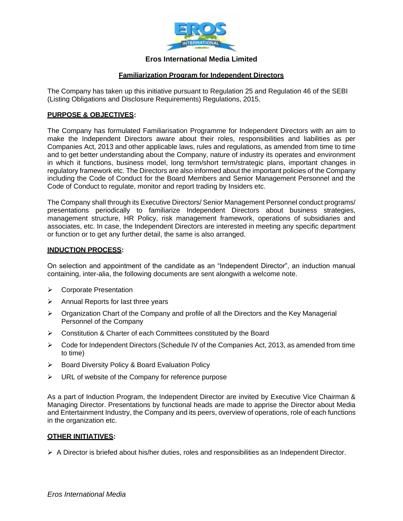

# **Eros International Media Limited**

## **Familiarization Program for Independent Directors**

The Company has taken up this initiative pursuant to Regulation 25 and Regulation 46 of the SEBI (Listing Obligations and Disclosure Requirements) Regulations, 2015.

## **PURPOSE & OBJECTIVES:**

The Company has formulated Familiarisation Programme for Independent Directors with an aim to make the Independent Directors aware about their roles, responsibilities and liabilities as per Companies Act, 2013 and other applicable laws, rules and regulations, as amended from time to time and to get better understanding about the Company, nature of industry its operates and environment in which it functions, business model, long term/short term/strategic plans, important changes in regulatory framework etc. The Directors are also informed about the important policies of the Company including the Code of Conduct for the Board Members and Senior Management Personnel and the Code of Conduct to regulate, monitor and report trading by Insiders etc.

The Company shall through its Executive Directors/ Senior Management Personnel conduct programs/ presentations periodically to familiarize Independent Directors about business strategies, management structure, HR Policy, risk management framework, operations of subsidiaries and associates, etc. In case, the Independent Directors are interested in meeting any specific department or function or to get any further detail, the same is also arranged.

#### **INDUCTION PROCESS:**

On selection and appointment of the candidate as an "Independent Director", an induction manual containing, inter-alia, the following documents are sent alongwith a welcome note.

- ➢ Corporate Presentation
- $\triangleright$  Annual Reports for last three years
- $\triangleright$  Organization Chart of the Company and profile of all the Directors and the Key Managerial Personnel of the Company
- ➢ Constitution & Charter of each Committees constituted by the Board
- $\triangleright$  Code for Independent Directors (Schedule IV of the Companies Act, 2013, as amended from time to time)
- ➢ Board Diversity Policy & Board Evaluation Policy
- ➢ URL of website of the Company for reference purpose

As a part of Induction Program, the Independent Director are invited by Executive Vice Chairman & Managing Director. Presentations by functional heads are made to apprise the Director about Media and Entertainment Industry, the Company and its peers, overview of operations, role of each functions in the organization etc.

#### **OTHER INITIATIVES:**

 $\triangleright$  A Director is briefed about his/her duties, roles and responsibilities as an Independent Director.